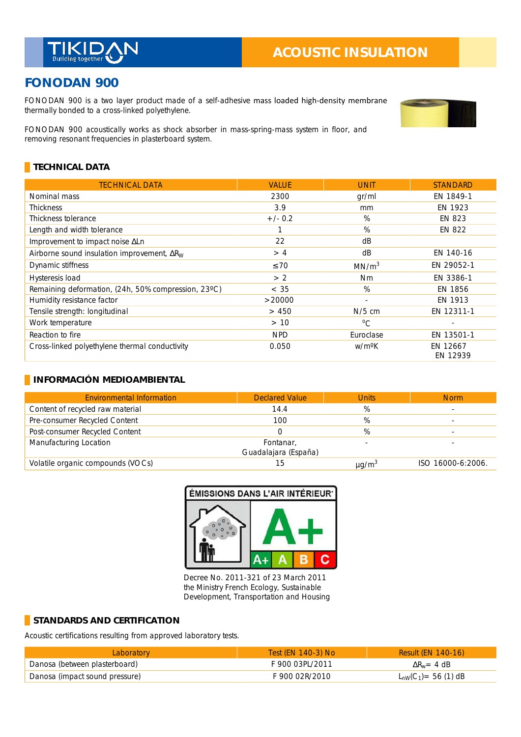

# **ACOUSTIC INSULATION**

## **FONODAN 900**

FONODAN 900 is a two layer product made of a self-adhesive mass loaded high-density membrane thermally bonded to a cross-linked polyethylene.



#### **TECHNICAL DATA**

| <b>TECHNICAL DATA</b>                               | <b>VALUE</b> | <b>UNIT</b>        | <b>STANDARD</b>      |
|-----------------------------------------------------|--------------|--------------------|----------------------|
| Nominal mass                                        | 2300         | gr/ml              | EN 1849-1            |
| Thickness                                           | 3.9          | mm                 | EN 1923              |
| Thickness tolerance                                 | $+/- 0.2$    | %                  | EN 823               |
| Length and width tolerance                          |              | $\%$               | EN 822               |
| Improvement to impact noise ALn                     | 22           | dB                 |                      |
| Airborne sound insulation improvement, $\Delta R_W$ | >4           | dB                 | EN 140-16            |
| Dynamic stiffness                                   | $\leq 70$    | MN/m <sup>3</sup>  | EN 29052-1           |
| Hysteresis load                                     | > 2          | Nm                 | EN 3386-1            |
| Remaining deformation, (24h, 50% compression, 23°C) | < 35         | %                  | EN 1856              |
| Humidity resistance factor                          | >20000       | $\sim$             | EN 1913              |
| Tensile strength: longitudinal                      | > 450        | $N/5$ cm           | EN 12311-1           |
| Work temperature                                    | > 10         | $^{\circ}$ C       |                      |
| Reaction to fire                                    | <b>NPD</b>   | Euroclase          | EN 13501-1           |
| Cross-linked polyethylene thermal conductivity      | 0.050        | w/m <sup>o</sup> K | EN 12667<br>EN 12939 |

#### **INFORMACIÓN MEDIOAMBIENTAL**

| <b>Environmental Information</b>  | <b>Declared Value</b>             | <b>Units</b>           | <b>Norm</b>       |
|-----------------------------------|-----------------------------------|------------------------|-------------------|
| Content of recycled raw material  | 14.4                              | %                      |                   |
| Pre-consumer Recycled Content     | 100                               | %                      |                   |
| Post-consumer Recycled Content    |                                   | %                      |                   |
| Manufacturing Location            | Fontanar,<br>Guadalajara (España) |                        |                   |
| Volatile organic compounds (VOCs) | 15                                | $\mu$ g/m <sup>3</sup> | ISO 16000-6:2006. |

#### ÉMISSIONS DANS L'AIR INTÉRIEUR<sup>.</sup>



Decree No. 2011-321 of 23 March 2011 the Ministry French Ecology, Sustainable Development, Transportation and Housing

#### **STANDARDS AND CERTIFICATION**

Acoustic certifications resulting from approved laboratory tests.

| Laboratory                     | Test (EN 140-3) No | <b>Result (EN 140-16)</b>        |
|--------------------------------|--------------------|----------------------------------|
| Danosa (between plasterboard)  | F 900 03PL/2011    | $\Delta R_w = 4$ dB              |
| Danosa (impact sound pressure) | F 900 02R/2010     | $L_{\text{nw}}(C_1) = 56$ (1) dB |

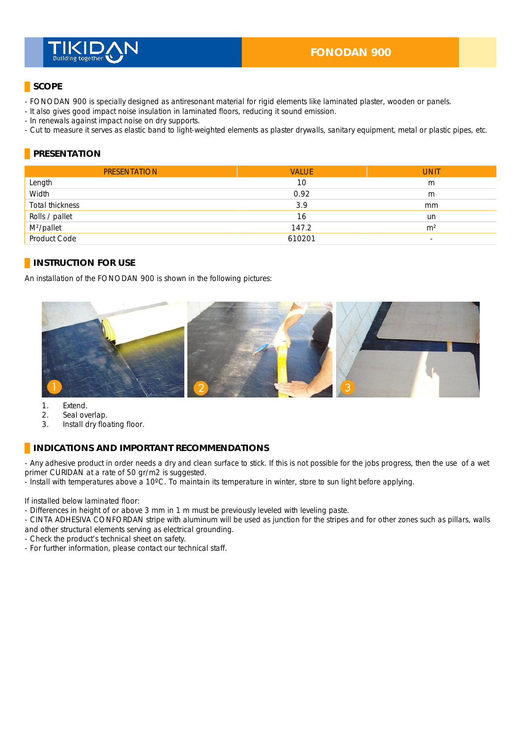

## **SCOPE**

- FONODAN 900 is specially designed as antiresonant material for rigid elements like laminated plaster, wooden or panels.
- It also gives good impact noise insulation in laminated floors, reducing it sound emission.
- In renewals against impact noise on dry supports. \_
- Cut to measure it serves as elastic band to light-weighted elements as plaster drywalls, sanitary equipment, metal or plastic pipes, etc.

## **PRESENTATION**

| <b>PRESENTATION</b>    | <b>VALUE</b> | <b>UNIT</b>              |
|------------------------|--------------|--------------------------|
| Length                 | 10           | m                        |
| Width                  | 0.92         | m                        |
| Total thickness        | 3.9          | mm                       |
| Rolls / pallet         | 16           | un                       |
| M <sup>2</sup> /pallet | 147.2        | m <sup>2</sup>           |
| Product Code           | 610201       | $\overline{\phantom{a}}$ |

### **INSTRUCTION FOR USE**

An installation of the FONODAN 900 is shown in the following pictures:



1. Extend.

- 2. Seal overlap.
- 3. Install dry floating floor.

#### **INDICATIONS AND IMPORTANT RECOMMENDATIONS**

- Any adhesive product in order needs a dry and clean surface to stick. If this is not possible for the jobs progress, then the use of a wet primer CURIDAN at a rate of 50 gr/m2 is suggested.

- Install with temperatures above a 10°C. To maintain its temperature in winter, store to sun light before applying.

If installed below laminated floor:

- Differences in height of or above 3 mm in 1 m must be previously leveled with leveling paste.

- CINTA ADHESIVA CONFORDAN stripe with aluminum will be used as junction for the stripes and for other zones such as pillars, walls and other structural elements serving as electrical grounding.

- Check the product's technical sheet on safety.
- For further information, please contact our technical staff.